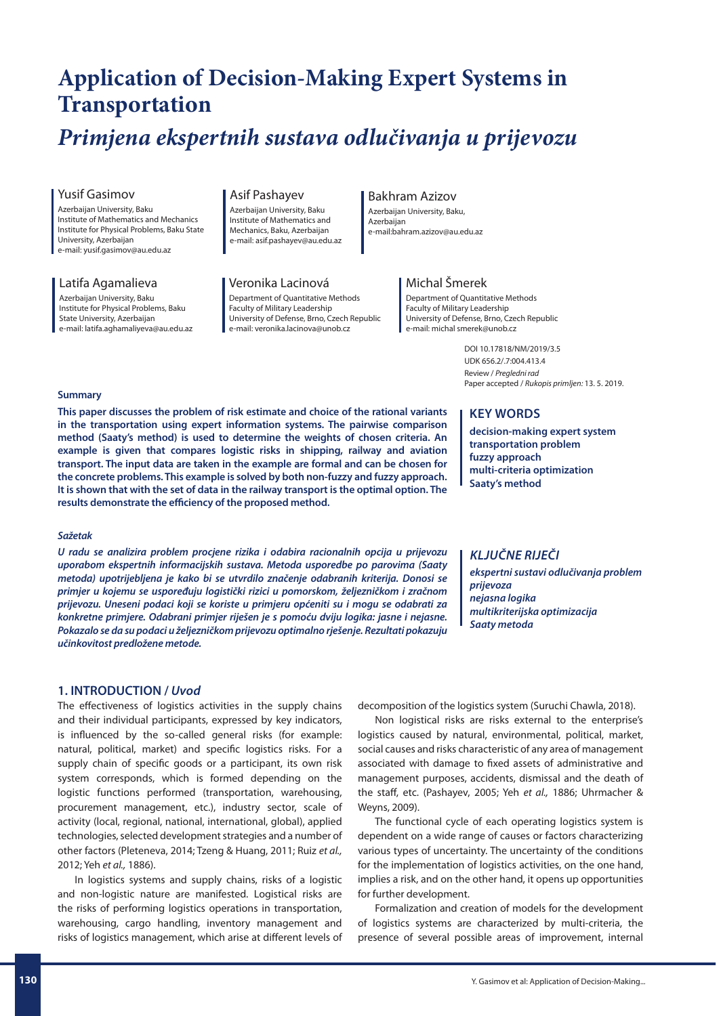# **Application of Decision-Making Expert Systems in**

# **Transportation** *Primjena ekspertnih sustava odlučivanja u prijevozu*

### Yusif Gasimov

Azerbaijan University, Baku Institute of Mathematics and Mechanics Institute for Physical Problems, Baku State University, Azerbaijan e-mail: yusif.gasimov@au.edu.az

#### Latifa Agamalieva

Azerbaijan University, Baku Institute for Physical Problems, Baku State University, Azerbaijan e-mail: latifa.aghamaliyeva@au.edu.az

#### Asif Pashayev

Azerbaijan University, Baku Institute of Mathematics and Mechanics, Baku, Azerbaijan e-mail: asif.pashayev@au.edu.az

# Veronika Lacinová

Department of Quantitative Methods Faculty of Military Leadership University of Defense, Brno, Czech Republic e-mail: veronika.lacinova@unob.cz

# Bakhram Azizov

Azerbaijan University, Baku, Azerbaijan e-mail:bahram.azizov@au.edu.az

# Michal Šmerek

Department of Quantitative Methods Faculty of Military Leadership University of Defense, Brno, Czech Republic e-mail: michal smerek@unob.cz

> DOI 10.17818/NM/2019/3.5 UDK 656.2/.7:004.413.4 Review / Pregledni rad Paper accepted / Rukopis primlien: 13, 5, 2019.

#### **Summary**

**This paper discusses the problem of risk estimate and choice of the rational variants in the transportation using expert information systems. The pairwise comparison method (Saaty's method) is used to determine the weights of chosen criteria. An example is given that compares logistic risks in shipping, railway and aviation transport. The input data are taken in the example are formal and can be chosen for the concrete problems. This example is solved by both non-fuzzy and fuzzy approach. It is shown that with the set of data in the railway transport is the optimal option. The**  results demonstrate the efficiency of the proposed method.

#### *Sažetak*

*U radu se analizira problem procjene rizika i odabira racionalnih opcija u prijevozu uporabom ekspertnih informacijskih sustava. Metoda usporedbe po parovima (Saaty metoda) upotrijebljena je kako bi se utvrdilo značenje odabranih kriterija. Donosi se primjer u kojemu se uspoređuju logistički rizici u pomorskom, željezničkom i zračnom prijevozu. Uneseni podaci koji se koriste u primjeru općeniti su i mogu se odabrati za konkretne primjere. Odabrani primjer riješen je s pomoću dviju logika: jasne i nejasne. Pokazalo se da su podaci u željezničkom prijevozu optimalno rješenje. Rezultati pokazuju učinkovitost predložene metode.*

# **1. INTRODUCTION /** *Uvod*

The effectiveness of logistics activities in the supply chains and their individual participants, expressed by key indicators, is influenced by the so-called general risks (for example: natural, political, market) and specific logistics risks. For a supply chain of specific goods or a participant, its own risk system corresponds, which is formed depending on the logistic functions performed (transportation, warehousing, procurement management, etc.), industry sector, scale of activity (local, regional, national, international, global), applied technologies, selected development strategies and a number of other factors (Pleteneva, 2014; Tzeng & Huang, 2011; Ruiz et al., 2012; Yeh et al., 1886).

In logistics systems and supply chains, risks of a logistic and non-logistic nature are manifested. Logistical risks are the risks of performing logistics operations in transportation, warehousing, cargo handling, inventory management and risks of logistics management, which arise at different levels of

# **KEY WORDS**

**decision-making expert system transportation problem fuzzy approach multi-criteria optimization Saaty's method**

# *KLJUČNE RIJEČI*

*ekspertni sustavi odlučivanja problem prijevoza nejasna logika multikriterijska optimizacija Saaty metoda*

decomposition of the logistics system (Suruchi Chawla, 2018).

Non logistical risks are risks external to the enterprise's logistics caused by natural, environmental, political, market, social causes and risks characteristic of any area of management associated with damage to fixed assets of administrative and management purposes, accidents, dismissal and the death of the staff, etc. (Pashayev, 2005; Yeh et al., 1886; Uhrmacher & Weyns, 2009).

The functional cycle of each operating logistics system is dependent on a wide range of causes or factors characterizing various types of uncertainty. The uncertainty of the conditions for the implementation of logistics activities, on the one hand, implies a risk, and on the other hand, it opens up opportunities for further development.

Formalization and creation of models for the development of logistics systems are characterized by multi-criteria, the presence of several possible areas of improvement, internal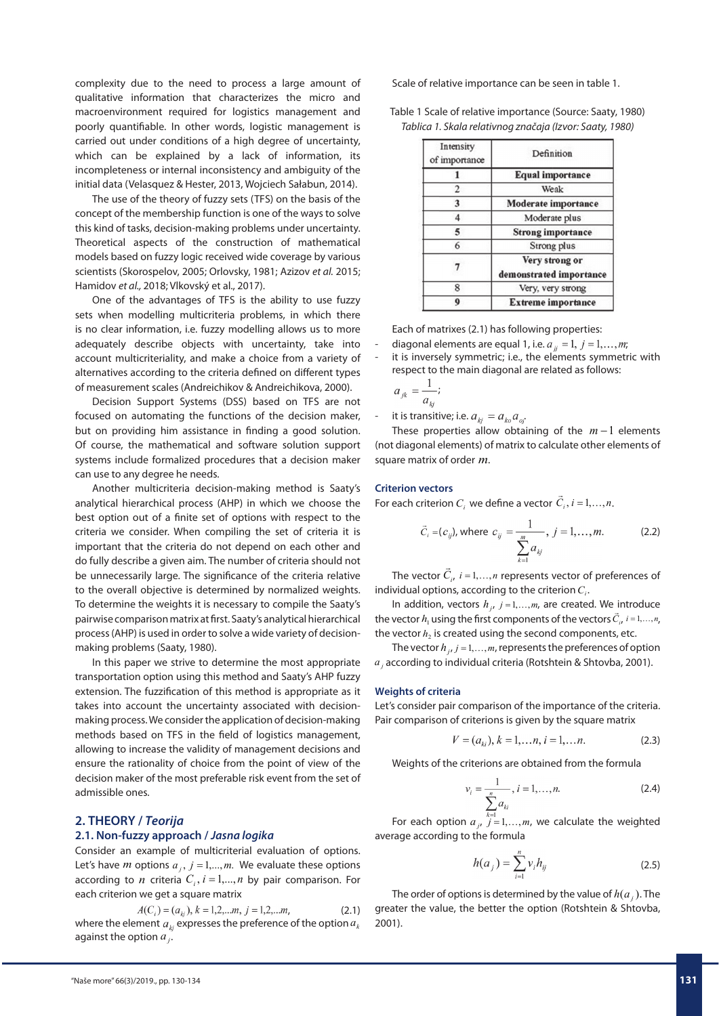complexity due to the need to process a large amount of qualitative information that characterizes the micro and macroenvironment required for logistics management and poorly quantifiable. In other words, logistic management is carried out under conditions of a high degree of uncertainty, which can be explained by a lack of information, its incompleteness or internal inconsistency and ambiguity of the initial data (Velasquez & Hester, 2013, Wojciech Sałabun, 2014).

The use of the theory of fuzzy sets (TFS) on the basis of the concept of the membership function is one of the ways to solve this kind of tasks, decision-making problems under uncertainty. Theoretical aspects of the construction of mathematical models based on fuzzy logic received wide coverage by various scientists (Skorospelov, 2005; Orlovsky, 1981; Azizov et al. 2015; Hamidov et al., 2018; Vlkovský et al., 2017).

One of the advantages of TFS is the ability to use fuzzy sets when modelling multicriteria problems, in which there is no clear information, i.e. fuzzy modelling allows us to more adequately describe objects with uncertainty, take into account multicriteriality, and make a choice from a variety of alternatives according to the criteria defined on different types of measurement scales (Andreichikov & Andreichikova, 2000).

Decision Support Systems (DSS) based on TFS are not focused on automating the functions of the decision maker, but on providing him assistance in finding a good solution. Of course, the mathematical and software solution support systems include formalized procedures that a decision maker can use to any degree he needs.

Another multicriteria decision-making method is Saaty's analytical hierarchical process (AHP) in which we choose the best option out of a finite set of options with respect to the criteria we consider. When compiling the set of criteria it is important that the criteria do not depend on each other and do fully describe a given aim. The number of criteria should not be unnecessarily large. The significance of the criteria relative to the overall objective is determined by normalized weights. To determine the weights it is necessary to compile the Saaty's pairwise comparison matrix at first. Saaty's analytical hierarchical process (AHP) is used in order to solve a wide variety of decisionmaking problems (Saaty, 1980).

In this paper we strive to determine the most appropriate transportation option using this method and Saaty's AHP fuzzy extension. The fuzzification of this method is appropriate as it takes into account the uncertainty associated with decisionmaking process. We consider the application of decision-making methods based on TFS in the field of logistics management, allowing to increase the validity of management decisions and ensure the rationality of choice from the point of view of the decision maker of the most preferable risk event from the set of admissible ones.

#### **2. THEORY /** *Teorija* **2.1. Non-fuzzy approach /** *Jasna logika*

# Consider an example of multicriterial evaluation of options. Let's have *m* options  $a_i$ ,  $j = 1,...,m$ . We evaluate these options according to *n* criteria  $C_i$ ,  $i = 1,...,n$  by pair comparison. For each criterion we get a square matrix

 $A(C_i) = (a_{ki}), k = 1, 2, \dots m, j = 1, 2, \dots m$ . (2.1) where the element  $a_{ki}$  expresses the preference of the option  $a_{ki}$ against the option *a <sup>j</sup>*.

Scale of relative importance can be seen in table 1.

Table 1 Scale of relative importance (Source: Saaty, 1980) Tablica 1. Skala relativnog značaja (Izvor: Saaty, 1980)

| Intensity<br>of importance | Definition                                |
|----------------------------|-------------------------------------------|
|                            | <b>Equal importance</b>                   |
| $\overline{c}$             | Weak                                      |
| 3                          | <b>Moderate</b> importance                |
|                            | Moderate plus                             |
| 5                          | <b>Strong importance</b>                  |
| 6                          | Strong plus                               |
|                            | Very strong or<br>demonstrated importance |
| 8                          | Very, very strong                         |
|                            | <b>Extreme importance</b>                 |

Each of matrixes (2.1) has following properties:

- diagonal elements are equal 1, i.e.  $a_{ij} = 1, j = 1,...,m$ ;
- it is inversely symmetric; i.e., the elements symmetric with respect to the main diagonal are related as follows:

$$
a_{jk} = \frac{1}{a_{ki}};
$$

it is transitive; i.e.  $a_{ki} = a_{ko} a_{oi}$ 

These properties allow obtaining of the  $m-1$  elements (not diagonal elements) of matrix to calculate other elements of square matrix of order *m*.

#### **Criterion vectors**

For each criterion *C<sub>i</sub>* we define a vector  $\vec{C}_i$ ,  $i = 1,...,n$ .

$$
\vec{C}_i = (c_{ij}), \text{ where } c_{ij} = \frac{1}{\sum_{k=1}^m a_{kj}}, j = 1, ..., m. \tag{2.2}
$$

The vector  $\vec{C}_{i\prime}$   $i$  = 1,..., $n$  represents vector of preferences of individual options, according to the criterion  $C_i$ .

In addition, vectors  $h_j$ ,  $j = 1,...,m$ , are created. We introduce the vector  $h_1$  using the first components of the vectors  $\vec{C}_i$ ,  $i = 1,...,n$ , the vector  $h<sub>2</sub>$  is created using the second components, etc.

The vector  $h_{j}$ ,  $j = 1,...,m$ , represents the preferences of option *a j* according to individual criteria (Rotshtein & Shtovba, 2001).

#### **Weights of criteria**

Let's consider pair comparison of the importance of the criteria. Pair comparison of criterions is given by the square matrix

$$
V = (a_{ki}), k = 1,...n, i = 1,...n.
$$
 (2.3)

Weights of the criterions are obtained from the formula

$$
v_i = \frac{1}{\sum_{i=1}^{n} a_{ki}}, i = 1, ..., n.
$$
 (2.4)

For each option  $a_{j}$ ,  $j = 1,...,m$ , we calculate the weighted average according to the formula

$$
h(a_j) = \sum_{i=1}^{n} v_i h_{ij}
$$
 (2.5)

The order of options is determined by the value of  $h(a)$ . The greater the value, the better the option (Rotshtein & Shtovba, 2001).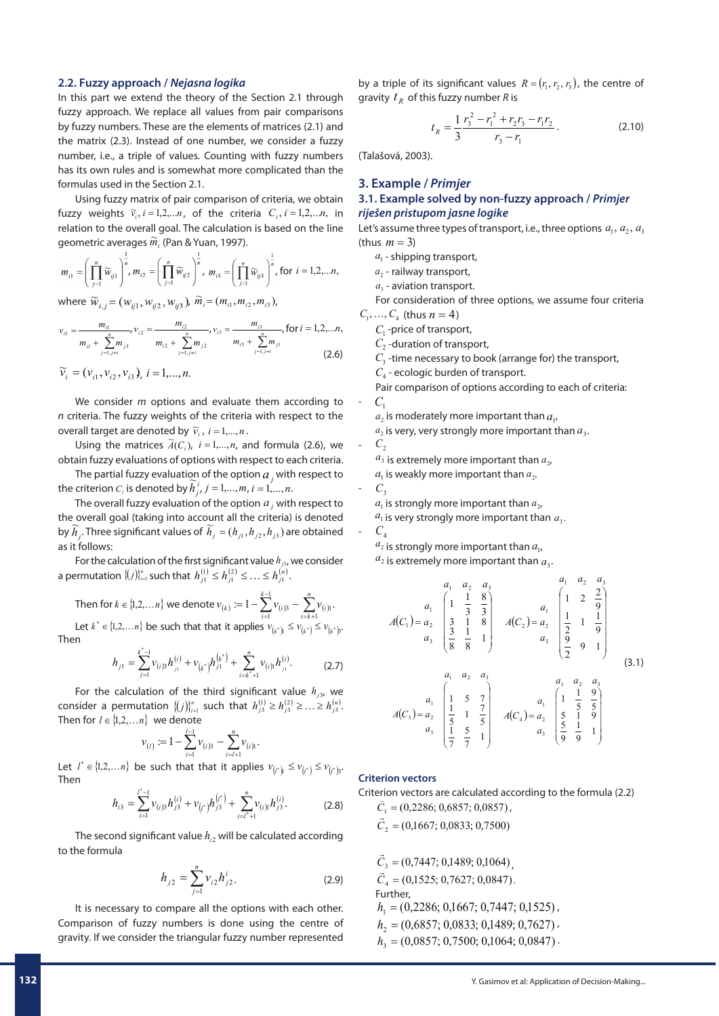#### **2.2. Fuzzy approach /** *Nejasna logika*

In this part we extend the theory of the Section 2.1 through fuzzy approach. We replace all values from pair comparisons by fuzzy numbers. These are the elements of matrices (2.1) and the matrix (2.3). Instead of one number, we consider a fuzzy number, i.e., a triple of values. Counting with fuzzy numbers has its own rules and is somewhat more complicated than the formulas used in the Section 2.1.

Using fuzzy matrix of pair comparison of criteria, we obtain fuzzy weights  $\tilde{v}_i$ ,  $i = 1,2,...n$ , of the criteria  $C_i$ ,  $i = 1,2,...n$ , in relation to the overall goal. The calculation is based on the line geometric averages  $\widetilde{m}_i$  (Pan & Yuan, 1997).

$$
m_{i1} = \left(\prod_{j=1}^{n} \widetilde{w}_{ij1}\right)^{\frac{1}{n}}, m_{i2} = \left(\prod_{j=1}^{n} \widetilde{w}_{ij2}\right)^{\frac{1}{n}}, m_{i3} = \left(\prod_{j=1}^{n} \widetilde{w}_{ij3}\right)^{\frac{1}{n}}, \text{ for } i = 1, 2, \dots n,
$$

where  $\widetilde{w}_{i,j} = (w_{ii1}, w_{ii2}, w_{ii3})$ ,  $\widetilde{m}_i = (m_{i1}, m_{i2}, m_{i3})$ ,

$$
v_{i1} = \frac{m_{i1}}{m_{i1} + \sum_{j=1, j \neq i}^{n} m_{j3}}, v_{i2} = \frac{m_{i2}}{m_{i2} + \sum_{j=1, j \neq i}^{n} m_{j2}}, v_{i3} = \frac{m_{i3}}{m_{i3} + \sum_{j=1, j \neq i}^{n} m_{j1}}, \text{for } i = 1, 2, \dots n,
$$
\n(2.6)

$$
\widetilde{v}_i = (v_{i1}, v_{i2}, v_{i3}), i = 1, ..., n.
$$

We consider  $m$  options and evaluate them according to  $n$  criteria. The fuzzy weights of the criteria with respect to the overall target are denoted by  $\widetilde{v}_i$ ,  $i = 1,...,n$ .

Using the matrices  $\widetilde{A}(C_i)$ ,  $i = 1,...,n$ , and formula (2.6), we obtain fuzzy evaluations of options with respect to each criteria.

The partial fuzzy evaluation of the option  $a_j$  with respect to the criterion  $C_i$  is denoted by  $\widetilde{h}_j^i$ ,  $j = 1,...,m$ ,  $i = 1,...,n$ .

The overall fuzzy evaluation of the option *a <sup>j</sup>* with respect to the overall goal (taking into account all the criteria) is denoted by  $\widetilde{h}_j$ . Three significant values of  $\widetilde{h}_j = (h_{j1}, h_{j2}, h_{j3})$  are obtained as it follows:

For the calculation of the first significant value  $h_{j1}$ , we consider a permutation  $\{(j)\}_{j=1}^n$  such that  $h^{(1)}_{j1} \leq h^{(2)}_{j1} \leq \ldots \leq h^{(n)}_{j1}$  .

Then for 
$$
k \in \{1, 2, \ldots n\}
$$
 we denote  $v_{(k)} := 1 - \sum_{i=1}^{k-1} v_{(i)3} - \sum_{i=k+1}^{n} v_{(i)1}$ . Let  $k^* \in \{1, 2, \ldots n\}$  be such that that it applies  $v_{(k^*)} \le v_{(k^*)} \le v_{(k^*)}$ .

Then

$$
h_{j1} = \sum_{j=1}^{k^*-1} \nu_{(i)3} h_{j1}^{(i)} + \nu_{(k^*)} h_{j1}^{(k^*)} + \sum_{i=k^*+1}^n \nu_{(i)1} h_{j1}^{(i)}.
$$
 (2.7)

For the calculation of the third significant value  $h_{j3}$ , we consider a permutation  $\{(j)\}_{i=1}^n$  such that  $h_{j3}^{(1)} \ge h_{j3}^{(2)} \ge ... \ge h_{j3}^{(n)}$ . Then for  $l \in \{1,2,...n\}$  we denote

$$
v_{(l)} := 1 - \sum_{i=1}^{l-1} v_{(i)3} - \sum_{i=l+1}^{n} v_{(i)1}.
$$

Let  $l^* \in \{1,2,\ldots,n\}$  be such that that it applies  $v_{l^*l} \le v_{l^*l} \le v_{l^*l}$ . Then

$$
h_{i3} = \sum_{i=1}^{r^* - 1} \nu_{(i)3} h_{j3}^{(i)} + \nu_{(r^*)} h_{j3}^{(r^*)} + \sum_{i=r^* + 1}^{n} \nu_{(i)1} h_{j3}^{(i)}.
$$
 (2.8)

The second significant value  $h_{i2}$  will be calculated according to the formula

$$
h_{j2} = \sum_{j=1}^{n} v_{i2} h_{j2}^{i}.
$$
 (2.9)

It is necessary to compare all the options with each other. Comparison of fuzzy numbers is done using the centre of gravity. If we consider the triangular fuzzy number represented

by a triple of its significant values  $R = (r_1, r_2, r_3)$ , the centre of gravity  $t<sub>R</sub>$  of this fuzzy number R is

$$
t_R = \frac{1}{3} \frac{r_3^2 - r_1^2 + r_2 r_3 - r_1 r_2}{r_3 - r_1}.
$$
 (2.10)

(Talašová, 2003).

# **3. Example /** *Primjer* **3.1. Example solved by non-fuzzy approach /** *Primjer riješen pristupom jasne logike*

Let's assume three types of transport, i.e., three options  $a_1, a_2, a_3$ (thus  $m = 3$ )

*a*<sub>1</sub> - shipping transport,

a<sub>2</sub> - railway transport,

 $a_3$  - aviation transport.

For consideration of three options, we assume four criteria  $C_1, ..., C_4$  (thus  $n = 4$ )

*C*1 -price of transport,

 $C<sub>2</sub>$  -duration of transport,

 $C<sub>3</sub>$ -time necessary to book (arrange for) the transport,

*C*4 - ecologic burden of transport.

Pair comparison of options according to each of criteria:  $C<sub>1</sub>$ 

 $a_2$  is moderately more important than  $a_1$ ,

 $a_2$  is very, very strongly more important than  $a_3$ .  $C<sub>2</sub>$ 

 $a_3$  is extremely more important than  $a_2$ ,

 $a_1$  is weakly more important than  $a_2$ .

 $C_3$ 

 $a_1$  is strongly more important than  $a_2$ 

 $a_1$  is very strongly more important than  $a_3$ .

$$
-C_4
$$

 $a_2$  is strongly more important than  $a_1$ ,

 $a_2$  is extremely more important than  $a_3$ .

$$
A(C_1) = \begin{pmatrix} a_1 & a_2 & a_3 \\ 1 & \frac{1}{3} & \frac{8}{3} \\ a_3 & \frac{1}{3} & \frac{1}{3} \\ a_3 & \frac{1}{3} & \frac{1}{3} \\ a_3 & \frac{1}{3} & \frac{1}{3} \end{pmatrix} \quad A(C_2) = \begin{pmatrix} a_1 & a_2 & a_3 \\ 1 & 2 & \frac{2}{9} \\ \frac{1}{2} & 1 & \frac{1}{9} \\ \frac{2}{9} & 9 & 1 \end{pmatrix}
$$
  
\n
$$
A(C_3) = \begin{pmatrix} a_1 & a_2 & a_3 \\ 1 & 5 & 7 \\ a_3 & \frac{1}{2} & 1 & \frac{7}{9} \\ \frac{1}{2} & 1 & \frac{7}{9} \\ a_3 & \frac{1}{2} & \frac{5}{7} & 1 \end{pmatrix} \quad A(C_4) = \begin{pmatrix} a_1 & a_2 & a_3 \\ 1 & \frac{1}{5} & \frac{9}{5} \\ a_3 & \frac{1}{5} & \frac{1}{9} \\ \frac{1}{9} & \frac{1}{9} & 1 \end{pmatrix}
$$
  
\n(3.1)

#### **Criterion vectors**

Criterion vectors are calculated according to the formula (2.2)  $C_1$  = (0,2286; 0,6857; 0,0857)

 $\vec{C}_2$  = (0,1667; 0,0833; 0,7500)

 $\vec{C}_3 = (0,7447; 0,1489; 0,1064)$  $\vec{C}_4$  = (0,1525; 0,7627; 0,0847). Further,  $h_1 = (0,2286; 0,1667; 0,7447; 0,1525)$  $h_2 = (0,6857; 0,0833; 0,1489; 0,7627)$  $h_3 = (0,0857; 0,7500; 0,1064; 0,0847)$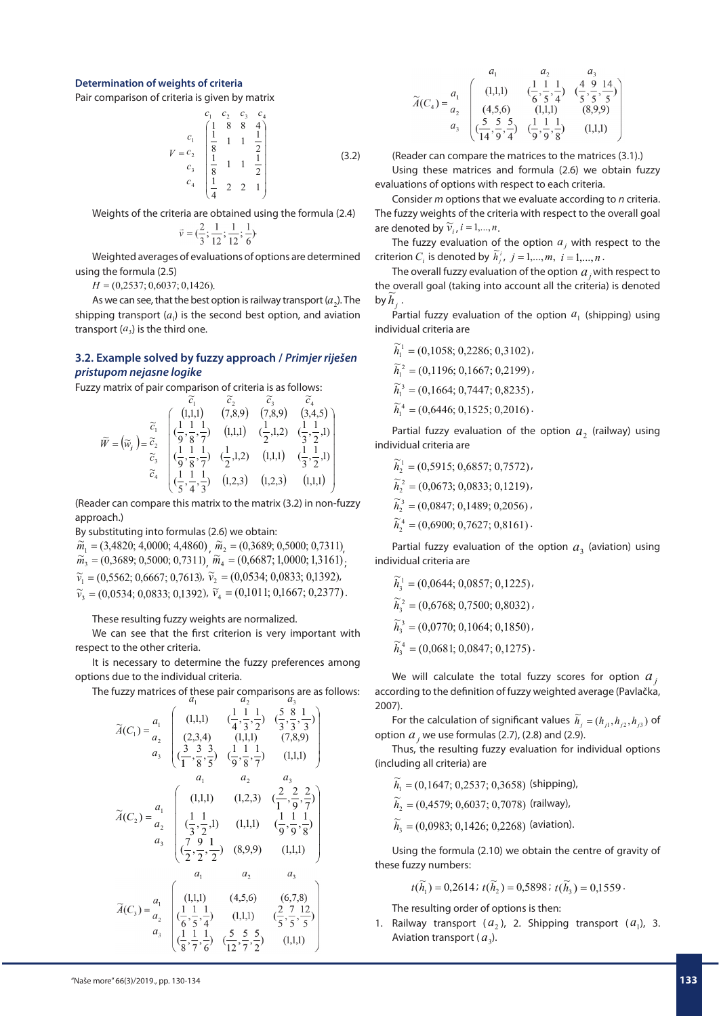#### **Determination of weights of criteria**

Pair comparison of criteria is given by matrix

$$
V = c_2 \begin{pmatrix} c_1 & c_2 & c_3 & c_4 \\ 1 & 8 & 8 & 4 \\ \frac{1}{8} & 1 & 1 & \frac{1}{2} \\ c_3 & \frac{1}{8} & 1 & 1 & \frac{1}{2} \\ c_4 & \frac{1}{4} & 2 & 2 & 1 \end{pmatrix}
$$
 (3.2)

Weights of the criteria are obtained using the formula (2.4)

$$
\vec{i} = (\frac{2}{3}; \frac{1}{12}; \frac{1}{12}; \frac{1}{6})
$$

Weighted averages of evaluations of options are determined using the formula (2.5)

 $H = (0.2537; 0.6037; 0.1426).$ 

As we can see, that the best option is railway transport  $(a_2)$ . The shipping transport  $(a_i)$  is the second best option, and aviation transport  $(a_3)$  is the third one.

# **3.2. Example solved by fuzzy approach /** *Primjer riješen pristupom nejasne logike*

Fuzzy matrix of pair comparison of criteria is as follows:<br> $\widetilde{\widetilde{z}}$ 

$$
\widetilde{W} = (\widetilde{w}_j) = \begin{bmatrix} \widetilde{c}_1 & \widetilde{c}_2 & \widetilde{c}_3 & \widetilde{c}_4 \\ (1,1,1) & (7,8,9) & (7,8,9) & (3,4,5) \\ (\frac{1}{9},\frac{1}{8},\frac{1}{7}) & (1,1,1) & (\frac{1}{2},1,2) & (\frac{1}{3},\frac{1}{2},1) \\ \widetilde{c}_3 & (\frac{1}{9},\frac{1}{8},\frac{1}{7}) & (\frac{1}{2},1,2) & (1,1,1) & (\frac{1}{3},\frac{1}{2},1) \\ (\frac{1}{5},\frac{1}{4},\frac{1}{3}) & (1,2,3) & (1,2,3) & (1,1,1) \end{bmatrix}
$$

(Reader can compare this matrix to the matrix (3.2) in non-fuzzy approach.)

By substituting into formulas (2.6) we obtain:

 $\widetilde{m}_1 = (3,4820; 4,0000; 4,4860)$ ,  $\widetilde{m}_2 = (0,3689; 0,5000; 0,7311)$ ,  $\widetilde{m}_3^1 = (0,3689, 0,5000, 0,7311) / \widetilde{m}_4^2 = (0,6687, 1,0000, 1,3161)$  $\widetilde{v}_1 = (0,5562; 0,6667; 0,7613)$ ,  $\widetilde{v}_2 = (0,0534; 0,0833; 0,1392)$ ,  $\widetilde{v}_3 = (0.0534; 0.0833; 0.1392)$ ,  $\widetilde{v}_4 = (0.1011; 0.1667; 0.2377)$ .

These resulting fuzzy weights are normalized.

We can see that the first criterion is very important with respect to the other criteria.

It is necessary to determine the fuzzy preferences among options due to the individual criteria.

The fuzzy matrices of these pair comparisons are as follows:<br> $a_1$   $a_2$   $a_3$ 

$$
\tilde{A}(C_1) = \frac{a_1}{a_2} \begin{pmatrix}\n(1,1,1) & \left(\frac{1}{4}, \frac{1}{3}, \frac{1}{2}\right) & \left(\frac{5}{3}, \frac{8}{3}, \frac{1}{3}\right) \\
(2,3,4) & (1,1,1) & (7,8,9) \\
a_3 & \left(\frac{3}{1}, \frac{3}{8}, \frac{3}{5}\right) & \left(\frac{1}{9}, \frac{1}{8}, \frac{1}{7}\right) & (1,1,1) \\
a_1 & a_2 & a_3 \\
a_3 & \left(\frac{1}{3}, \frac{1}{2}, 1\right) & (1,2,3) & \left(\frac{2}{1}, \frac{2}{9}, \frac{2}{7}\right) \\
a_3 & \left(\frac{1}{3}, \frac{1}{2}, 1\right) & (1,1,1) & \left(\frac{1}{9}, \frac{1}{9}, \frac{1}{8}\right) \\
a_1 & a_2 & a_3 \\
\left(\frac{7}{2}, \frac{9}{2}, \frac{1}{2}\right) & (8,9,9) & (1,1,1)\n\end{pmatrix}
$$
\n
$$
\tilde{A}(C_3) = \frac{a_1}{a_2} \begin{pmatrix}\n(1,1,1) & (4,5,6) & (6,7,8) \\
(1,1,1) & (4,5,6) & (6,7,8) \\
(6,5,5,4) & (1,1,1) & (2,7,12) \\
(1,1,1) & (2,5,5,5,5) \\
a_3 & \left(\frac{1}{8}, \frac{1}{7}, \frac{1}{6}\right) & \left(\frac{5}{12}, \frac{5}{7}, \frac{5}{2}\right) & (1,1,1)\n\end{pmatrix}
$$

$$
\widetilde{A}(C_4) = \frac{a_1}{a_2} \begin{pmatrix} a_1 & a_2 & a_3 \\ (1,1,1) & \left(\frac{1}{6}, \frac{1}{5}, \frac{1}{4}\right) & \left(\frac{4}{5}, \frac{9}{5}, \frac{14}{5}\right) \\ (4,5,6) & (1,1,1) & (8,9,9) \\ a_3 & \left(\frac{5}{14}, \frac{5}{9}, \frac{5}{4}\right) & \left(\frac{1}{9}, \frac{1}{9}, \frac{1}{8}\right) \\ 0 & \left(\frac{1}{9}, \frac{1}{9}, \frac{1}{3}\right) & (1,1,1) \end{pmatrix}
$$

(Reader can compare the matrices to the matrices (3.1).)

Using these matrices and formula (2.6) we obtain fuzzy evaluations of options with respect to each criteria.

Consider *m* options that we evaluate according to *n* criteria. The fuzzy weights of the criteria with respect to the overall goal are denoted by  $\widetilde{v}_i$ ,  $i = 1,...,n$ .

The fuzzy evaluation of the option  $a_j$  with respect to the criterion *C<sub>i</sub>* is denoted by  $\tilde{h}^i_j$ ,  $j = 1,...,m$ ,  $i = 1,...,n$ .

The overall fuzzy evaluation of the option  $a_j^{\dagger}$  with respect to the overall goal (taking into account all the criteria) is denoted  $\lim_{b \to h_j}$ .

Partial fuzzy evaluation of the option  $a<sub>1</sub>$  (shipping) using individual criteria are

 $\widetilde{h}_1^1 = (0,1058; 0,2286; 0,3102)$  $\widetilde{h}_1^2 = (0, 1196; 0, 1667; 0, 2199)$  $\widetilde{h}_1^3 = (0,1664; 0,7447; 0,8235)$  $\widetilde{h}_1^4 = (0.6446; 0.1525; 0.2016)$ 

Partial fuzzy evaluation of the option  $a_2$  (railway) using individual criteria are

$$
\widetilde{h}_2^1 = (0,5915; 0,6857; 0,7572), \n\widetilde{h}_2^2 = (0,0673; 0,0833; 0,1219), \n\widetilde{h}_2^3 = (0,0847; 0,1489; 0,2056), \n\widetilde{h}_2^4 = (0,6900; 0,7627; 0,8161).
$$

Partial fuzzy evaluation of the option  $a_3$  (aviation) using individual criteria are

$$
\widetilde{h}_3^1 = (0,0644; 0,0857; 0,1225),
$$
  
\n
$$
\widetilde{h}_3^2 = (0,6768; 0,7500; 0,8032),
$$
  
\n
$$
\widetilde{h}_3^3 = (0,0770; 0,1064; 0,1850),
$$
  
\n
$$
\widetilde{h}_3^4 = (0,0681; 0,0847; 0,1275).
$$

We will calculate the total fuzzy scores for option  $a_j$ according to the definition of fuzzy weighted average (Pavlačka, 2007).

For the calculation of significant values  $\widetilde h_j = (h_{j1}, h_{j2}, h_{j3})$  of option  $a_j$  we use formulas (2.7), (2.8) and (2.9).

Thus, the resulting fuzzy evaluation for individual options (including all criteria) are

 $\widetilde{h}_1 = (0,1647; 0,2537; 0,3658)$  (shipping),

 $\widetilde{h}_2 = (0,4579; 0,6037; 0,7078)$  (railway),

 $\widetilde{h}_{3} = (0.0983; 0.1426; 0.2268) ~\mathrm{(aviation)}.$ 

Using the formula (2.10) we obtain the centre of gravity of these fuzzy numbers:

$$
t(\widetilde{h}_1) = 0,2614 \, \text{if } t(\widetilde{h}_2) = 0,5898 \, \text{if } t(\widetilde{h}_3) = 0,1559 \, \text{if } t \leq 0.
$$

The resulting order of options is then:

1. Railway transport  $(a_2)$ , 2. Shipping transport  $(a_1)$ , 3. Aviation transport  $(a_3)$ .